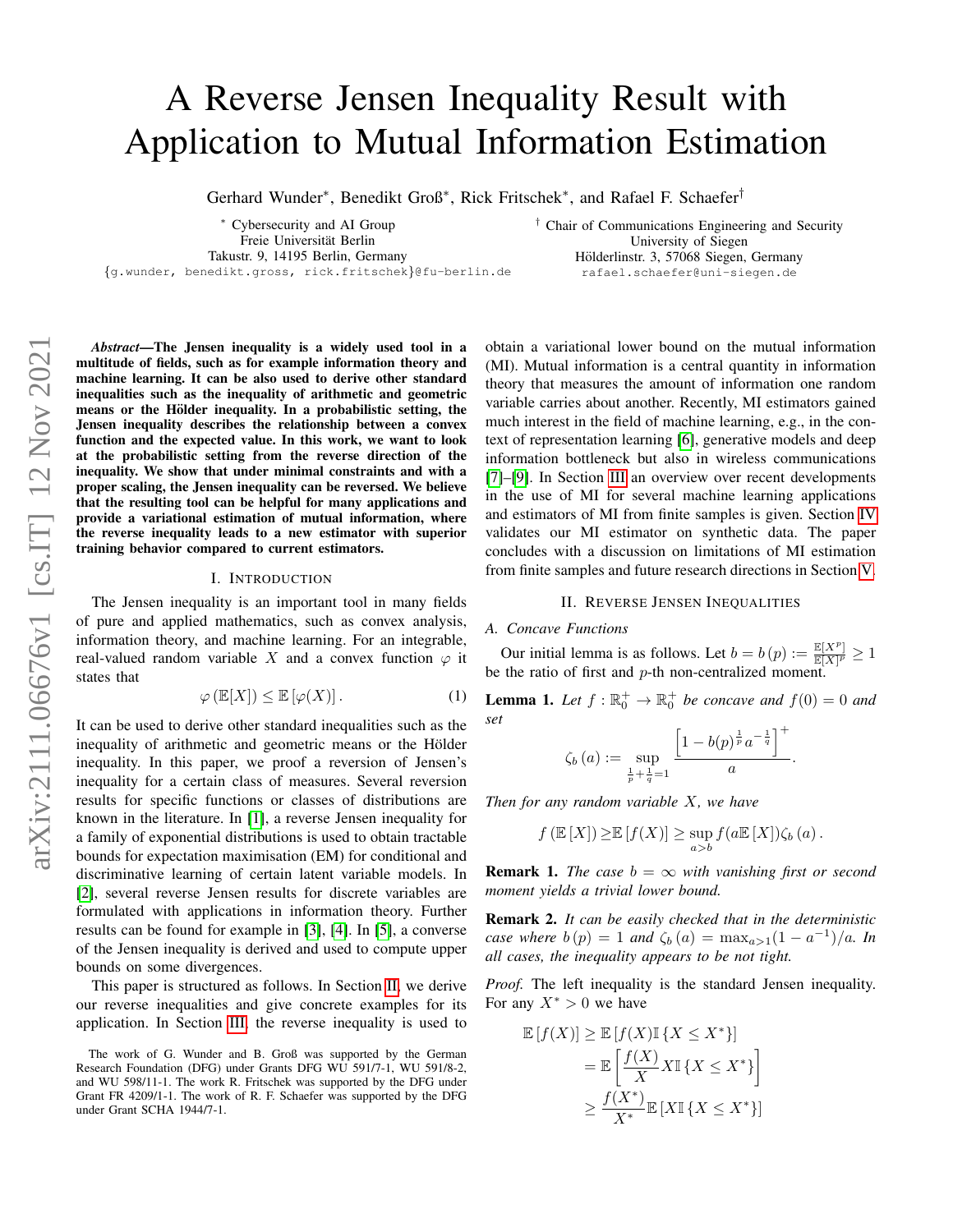# A Reverse Jensen Inequality Result with Application to Mutual Information Estimation

Gerhard Wunder<sup>∗</sup>, Benedikt Groß<sup>∗</sup>, Rick Fritschek<sup>∗</sup>, and Rafael F. Schaefer<sup>†</sup>

<sup>∗</sup> Cybersecurity and AI Group Freie Universität Berlin Takustr. 9, 14195 Berlin, Germany

{g.wunder, benedikt.gross, rick.fritschek}@fu-berlin.de

† Chair of Communications Engineering and Security University of Siegen Hölderlinstr. 3, 57068 Siegen, Germany rafael.schaefer@uni-siegen.de

*Abstract*—The Jensen inequality is a widely used tool in a multitude of fields, such as for example information theory and machine learning. It can be also used to derive other standard inequalities such as the inequality of arithmetic and geometric means or the Hölder inequality. In a probabilistic setting, the Jensen inequality describes the relationship between a convex function and the expected value. In this work, we want to look at the probabilistic setting from the reverse direction of the inequality. We show that under minimal constraints and with a proper scaling, the Jensen inequality can be reversed. We believe that the resulting tool can be helpful for many applications and provide a variational estimation of mutual information, where the reverse inequality leads to a new estimator with superior training behavior compared to current estimators.

#### I. INTRODUCTION

The Jensen inequality is an important tool in many fields of pure and applied mathematics, such as convex analysis, information theory, and machine learning. For an integrable, real-valued random variable X and a convex function  $\varphi$  it states that

$$
\varphi\left(\mathbb{E}[X]\right) \le \mathbb{E}\left[\varphi(X)\right].\tag{1}
$$

It can be used to derive other standard inequalities such as the inequality of arithmetic and geometric means or the Hölder inequality. In this paper, we proof a reversion of Jensen's inequality for a certain class of measures. Several reversion results for specific functions or classes of distributions are known in the literature. In [\[1\]](#page-5-0), a reverse Jensen inequality for a family of exponential distributions is used to obtain tractable bounds for expectation maximisation (EM) for conditional and discriminative learning of certain latent variable models. In [\[2\]](#page-5-1), several reverse Jensen results for discrete variables are formulated with applications in information theory. Further results can be found for example in [\[3\]](#page-5-2), [\[4\]](#page-5-3). In [\[5\]](#page-5-4), a converse of the Jensen inequality is derived and used to compute upper bounds on some divergences.

This paper is structured as follows. In Section [II,](#page-0-0) we derive our reverse inequalities and give concrete examples for its application. In Section [III,](#page-2-0) the reverse inequality is used to obtain a variational lower bound on the mutual information (MI). Mutual information is a central quantity in information theory that measures the amount of information one random variable carries about another. Recently, MI estimators gained much interest in the field of machine learning, e.g., in the context of representation learning [\[6\]](#page-5-5), generative models and deep information bottleneck but also in wireless communications [\[7\]](#page-5-6)–[\[9\]](#page-5-7). In Section [III](#page-2-0) an overview over recent developments in the use of MI for several machine learning applications and estimators of MI from finite samples is given. Section [IV](#page-4-0) validates our MI estimator on synthetic data. The paper concludes with a discussion on limitations of MI estimation from finite samples and future research directions in Section [V.](#page-4-1)

### II. REVERSE JENSEN INEQUALITIES

#### <span id="page-0-0"></span>*A. Concave Functions*

Our initial lemma is as follows. Let  $b = b(p) := \frac{\mathbb{E}[X^p]}{\mathbb{E}[X]^p} \ge 1$ be the ratio of first and  $p$ -th non-centralized moment.

<span id="page-0-1"></span>**Lemma 1.** Let  $f : \mathbb{R}_0^+ \to \mathbb{R}_0^+$  be concave and  $f(0) = 0$  and *set*

$$
\zeta_b(a) := \sup_{\frac{1}{p} + \frac{1}{q} = 1} \frac{\left[1 - b(p)^{\frac{1}{p}} a^{-\frac{1}{q}}\right]^+}{a}.
$$

*Then for any random variable* X*, we have*

$$
f\left(\mathbb{E}\left[X\right]\right) \geq \mathbb{E}\left[f(X)\right] \geq \sup_{a>b} f(a\mathbb{E}\left[X\right])\zeta_b\left(a\right).
$$

**Remark 1.** *The case*  $b = \infty$  *with vanishing first or second moment yields a trivial lower bound.*

Remark 2. *It can be easily checked that in the deterministic case where*  $b(p) = 1$  *and*  $\zeta_b(a) = \max_{a>1} (1 - a^{-1})/a$ *. In all cases, the inequality appears to be not tight.*

*Proof.* The left inequality is the standard Jensen inequality. For any  $X^* > 0$  we have

$$
\mathbb{E}[f(X)] \geq \mathbb{E}[f(X)\mathbb{I}\{X \leq X^*\}]
$$
  
= 
$$
\mathbb{E}\left[\frac{f(X)}{X}X\mathbb{I}\{X \leq X^*\}\right]
$$
  

$$
\geq \frac{f(X^*)}{X^*}\mathbb{E}[X\mathbb{I}\{X \leq X^*\}]
$$

The work of G. Wunder and B. Groß was supported by the German Research Foundation (DFG) under Grants DFG WU 591/7-1, WU 591/8-2, and WU 598/11-1. The work R. Fritschek was supported by the DFG under Grant FR 4209/1-1. The work of R. F. Schaefer was supported by the DFG under Grant SCHA 1944/7-1.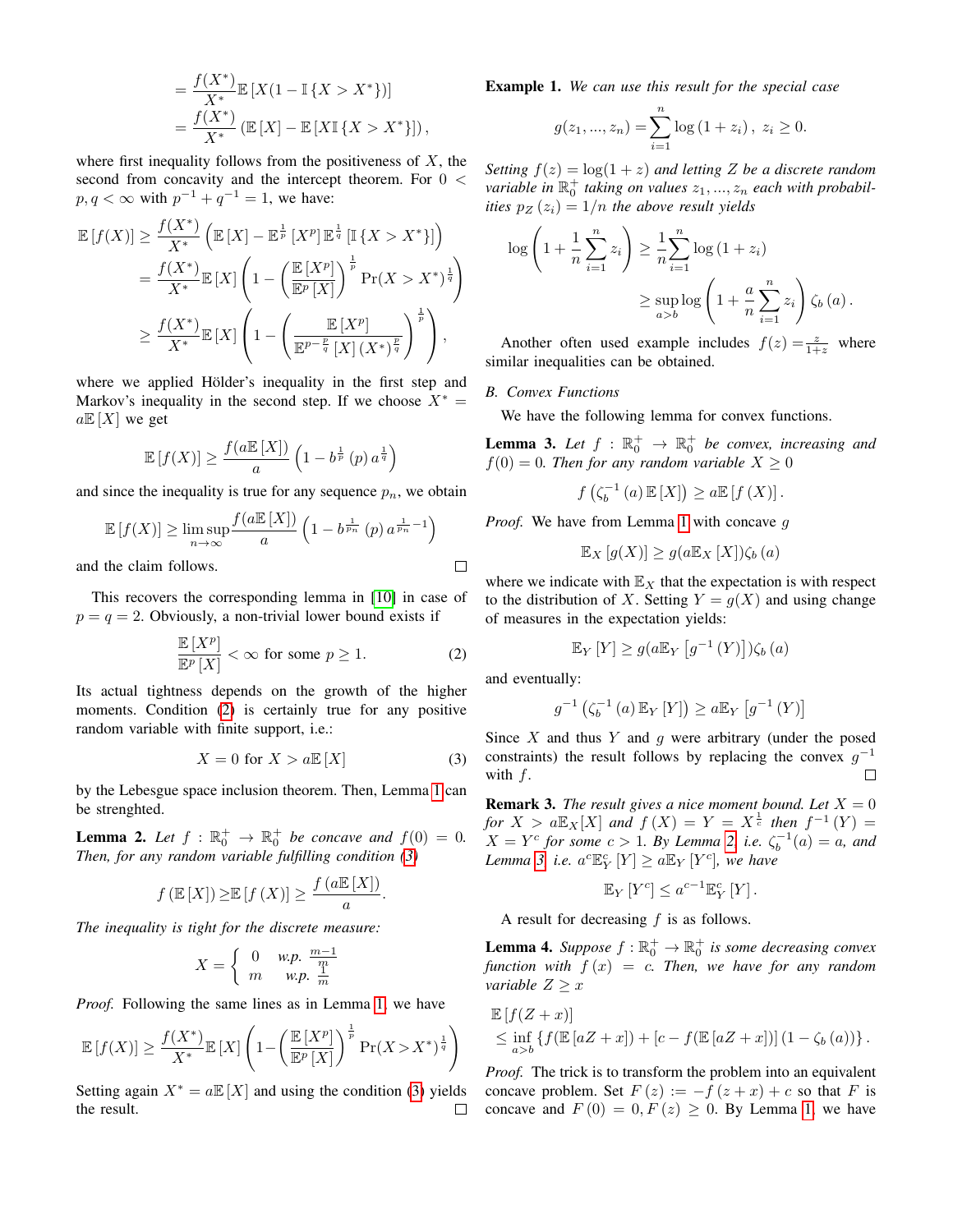$$
= \frac{f(X^*)}{X^*} \mathbb{E} [X(1 - \mathbb{I} \{X > X^*\})]
$$
  
= 
$$
\frac{f(X^*)}{X^*} (\mathbb{E} [X] - \mathbb{E} [X\mathbb{I} \{X > X^*\}]),
$$

where first inequality follows from the positiveness of  $X$ , the second from concavity and the intercept theorem. For  $0 <$  $p, q < \infty$  with  $p^{-1} + q^{-1} = 1$ , we have:

 $\lambda$   $\lambda$  =  $\lambda$   $\lambda$ 

$$
\mathbb{E}\left[f(X)\right] \geq \frac{f(X^*)}{X^*} \left(\mathbb{E}\left[X\right] - \mathbb{E}^{\frac{1}{p}}\left[X^p\right] \mathbb{E}^{\frac{1}{q}}\left[\mathbb{I}\left\{X > X^*\right\}\right]\right)
$$
\n
$$
= \frac{f(X^*)}{X^*} \mathbb{E}\left[X\right] \left(1 - \left(\frac{\mathbb{E}\left[X^p\right]}{\mathbb{E}^p\left[X\right]}\right)^{\frac{1}{p}} \Pr(X > X^*)^{\frac{1}{q}}\right)
$$
\n
$$
\geq \frac{f(X^*)}{X^*} \mathbb{E}\left[X\right] \left(1 - \left(\frac{\mathbb{E}\left[X^p\right]}{\mathbb{E}^{p-\frac{p}{q}}\left[X\right]\left(X^*\right)^{\frac{p}{q}}}\right)^{\frac{1}{p}}\right),
$$

where we applied Hölder's inequality in the first step and Markov's inequality in the second step. If we choose  $X^* =$  $a\mathbb{E}[X]$  we get

$$
\mathbb{E}\left[f(X)\right] \ge \frac{f(a\mathbb{E}\left[X\right])}{a} \left(1 - b^{\frac{1}{p}}\left(p\right) a^{\frac{1}{q}}\right)
$$

and since the inequality is true for any sequence  $p_n$ , we obtain

$$
\mathbb{E}\left[f(X)\right] \ge \limsup_{n \to \infty} \frac{f(a \mathbb{E}\left[X\right])}{a} \left(1 - b^{\frac{1}{p_n}}\left(p\right) a^{\frac{1}{p_n} - 1}\right)
$$

and the claim follows.

This recovers the corresponding lemma in [\[10\]](#page-5-8) in case of  $p = q = 2$ . Obviously, a non-trivial lower bound exists if

<span id="page-1-0"></span>
$$
\frac{\mathbb{E}\left[X^p\right]}{\mathbb{E}^p\left[X\right]} < \infty \text{ for some } p \ge 1. \tag{2}
$$

Its actual tightness depends on the growth of the higher moments. Condition [\(2\)](#page-1-0) is certainly true for any positive random variable with finite support, i.e.:

<span id="page-1-1"></span>
$$
X = 0 \text{ for } X > a \mathbb{E}[X] \tag{3}
$$

by the Lebesgue space inclusion theorem. Then, Lemma [1](#page-0-1) can be strenghted.

<span id="page-1-2"></span>**Lemma 2.** Let  $f : \mathbb{R}_0^+ \to \mathbb{R}_0^+$  be concave and  $f(0) = 0$ . *Then, for any random variable fulfilling condition [\(3\)](#page-1-1)*

$$
f\left(\mathbb{E}\left[X\right]\right) \geq \mathbb{E}\left[f\left(X\right)\right] \geq \frac{f\left(a\mathbb{E}\left[X\right]\right)}{a}.
$$

*The inequality is tight for the discrete measure:*

$$
X = \begin{cases} 0 & \text{w.p. } \frac{m-1}{m} \\ m & \text{w.p. } \frac{1}{m} \end{cases}
$$

*Proof.* Following the same lines as in Lemma [1,](#page-0-1) we have

$$
\mathbb{E}\left[f(X)\right] \ge \frac{f(X^*)}{X^*} \mathbb{E}\left[X\right] \left(1 - \left(\frac{\mathbb{E}\left[X^p\right]}{\mathbb{E}^p\left[X\right]}\right)^{\frac{1}{p}} \Pr(X > X^*)^{\frac{1}{q}}\right)
$$

Setting again  $X^* = a \mathbb{E}[X]$  and using the condition [\(3\)](#page-1-1) yields the result.  $\Box$  Example 1. *We can use this result for the special case*

$$
g(z_1, ..., z_n) = \sum_{i=1}^n \log (1 + z_i), \ z_i \ge 0.
$$

*Setting*  $f(z) = \log(1 + z)$  *and letting Z be a discrete random variable in*  $\mathbb{R}^+_0$  taking on values  $z_1, ..., z_n$  each with probabil*ities*  $p_Z(z_i) = 1/n$  *the above result yields* 

$$
\log\left(1+\frac{1}{n}\sum_{i=1}^{n}z_{i}\right) \geq \frac{1}{n}\sum_{i=1}^{n}\log\left(1+z_{i}\right)
$$

$$
\geq \sup_{a>b}\log\left(1+\frac{a}{n}\sum_{i=1}^{n}z_{i}\right)\zeta_{b}\left(a\right).
$$

Another often used example includes  $f(z) = \frac{z}{1+z}$  where similar inequalities can be obtained.

# *B. Convex Functions*

We have the following lemma for convex functions.

<span id="page-1-3"></span>**Lemma 3.** Let  $f : \mathbb{R}_0^+ \to \mathbb{R}_0^+$  be convex, increasing and  $f(0) = 0$ *. Then for any random variable*  $X \ge 0$ 

$$
f\left(\zeta_b^{-1}\left(a\right)\mathbb{E}\left[X\right]\right) \ge a \mathbb{E}\left[f\left(X\right)\right].
$$

*Proof.* We have from Lemma [1](#page-0-1) with concave g

$$
\mathbb{E}_X[g(X)] \ge g(a\mathbb{E}_X[X])\zeta_b(a)
$$

where we indicate with  $\mathbb{E}_X$  that the expectation is with respect to the distribution of X. Setting  $Y = g(X)$  and using change of measures in the expectation yields:

$$
\mathbb{E}_{Y}[Y] \ge g(a \mathbb{E}_{Y}[g^{-1}(Y)])\zeta_{b}(a)
$$

and eventually:

 $\Box$ 

$$
g^{-1}(\zeta_b^{-1}(a) \mathbb{E}_Y[Y]) \ge a \mathbb{E}_Y[g^{-1}(Y)]
$$

Since X and thus Y and q were arbitrary (under the posed constraints) the result follows by replacing the convex  $g^{-1}$ with  $f$ . П

**Remark 3.** *The result gives a nice moment bound. Let*  $X = 0$ *for*  $X > a \mathbb{E}_X[X]$  *and*  $f(X) = Y = X^{\frac{1}{c}}$  *then*  $f^{-1}(Y) =$  $X = Y^c$  for some  $c > 1$ . By Lemma [2,](#page-1-2) i.e.  $\zeta_b^{-1}(a) = a$ , and *Lemma* [3,](#page-1-3) *i.e.*  $a^c \mathbb{E}_Y^c$   $[Y] \ge a \mathbb{E}_Y$   $[Y^c]$ , we have

$$
\mathbb{E}_Y\left[Y^c\right] \le a^{c-1} \mathbb{E}_Y^c\left[Y\right].
$$

A result for decreasing  $f$  is as follows.

<span id="page-1-4"></span>**Lemma 4.** Suppose  $f : \mathbb{R}_0^+ \to \mathbb{R}_0^+$  is some decreasing convex *function with*  $f(x) = c$ *. Then, we have for any random variable*  $Z \geq x$ 

$$
\mathbb{E}\left[f(Z+x)\right] \le \inf_{a>b} \left\{f(\mathbb{E}\left[aZ+x\right]) + \left[c - f(\mathbb{E}\left[aZ+x\right])\right]\left(1-\zeta_b\left(a\right)\right)\right\}.
$$

*Proof.* The trick is to transform the problem into an equivalent concave problem. Set  $F(z) := -f(z + x) + c$  so that F is concave and  $F(0) = 0, F(z) \ge 0$ . By Lemma [1,](#page-0-1) we have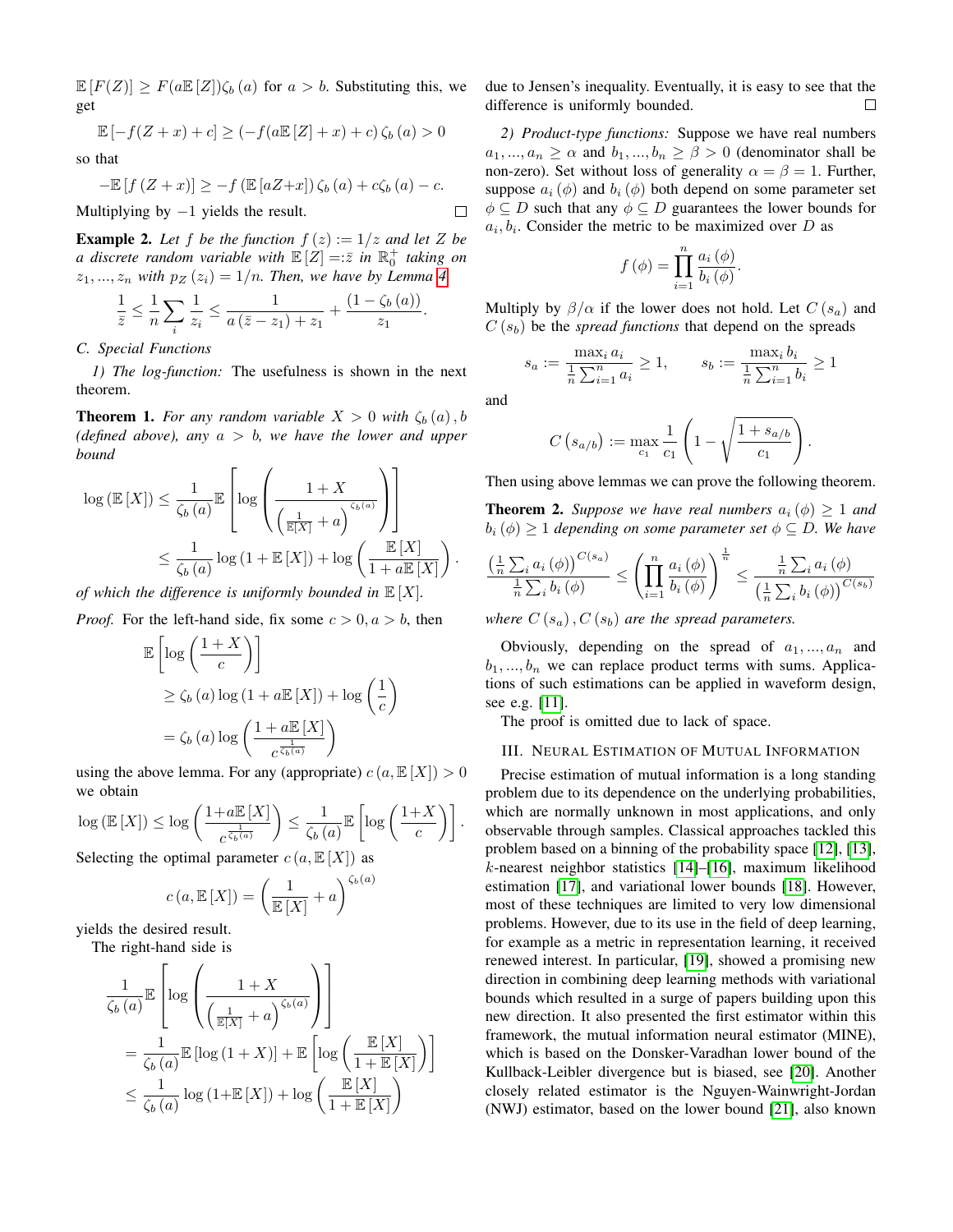$\mathbb{E}[F(Z)] \geq F(a \mathbb{E}[Z]) \zeta_b(a)$  for  $a > b$ . Substituting this, we get

$$
\mathbb{E}\left[-f(Z+x)+c\right] \geq \left(-f(a\mathbb{E}\left[Z\right]+x)+c\right)\zeta_b\left(a\right) > 0
$$

so that

$$
-\mathbb{E}\left[f\left(Z+x\right)\right]\ge-f\left(\mathbb{E}\left[aZ+x\right]\right)\zeta_b\left(a\right)+c\zeta_b\left(a\right)-c.
$$

Multiplying by  $-1$  yields the result.

**Example 2.** Let f be the function  $f(z) := 1/z$  and let Z be *a* discrete random variable with  $\mathbb{E}[Z] = \overline{z}$  in  $\mathbb{R}^+_0$  taking on  $z_1, ..., z_n$  *with*  $p_Z(z_i) = 1/n$ . Then, we have by Lemma [4](#page-1-4)

$$
\frac{1}{\bar{z}} \leq \frac{1}{n} \sum_{i} \frac{1}{z_i} \leq \frac{1}{a(\bar{z} - z_1) + z_1} + \frac{(1 - \zeta_b(a))}{z_1}.
$$

*C. Special Functions*

*1) The log-function:* The usefulness is shown in the next theorem.

<span id="page-2-1"></span>**Theorem 1.** *For any random variable*  $X > 0$  *with*  $\zeta_b(a)$ , *b (defined above), any* a > b*, we have the lower and upper bound*

$$
\log (\mathbb{E}[X]) \leq \frac{1}{\zeta_b(a)} \mathbb{E}\left[\log \left(\frac{1+X}{\left(\frac{1}{\mathbb{E}[X]}+a\right)^{\zeta_b(a)}}\right)\right]
$$
  

$$
\leq \frac{1}{\zeta_b(a)} \log \left(1+\mathbb{E}[X]\right) + \log \left(\frac{\mathbb{E}[X]}{1+a\mathbb{E}[X]}\right).
$$

*of which the difference is uniformly bounded in*  $\mathbb{E}[X]$ *.* 

*Proof.* For the left-hand side, fix some  $c > 0, a > b$ , then

$$
\mathbb{E}\left[\log\left(\frac{1+X}{c}\right)\right] \geq \zeta_b(a)\log\left(1+a\mathbb{E}\left[X\right]\right) + \log\left(\frac{1}{c}\right) = \zeta_b(a)\log\left(\frac{1+a\mathbb{E}\left[X\right]}{c^{\frac{1}{\zeta_b(a)}}}\right)
$$

using the above lemma. For any (appropriate)  $c(a, \mathbb{E}[X]) > 0$ we obtain

$$
\log \left( \mathbb{E} \left[ X \right] \right) \le \log \left( \frac{1 + a \mathbb{E} \left[ X \right]}{c^{\frac{1}{\zeta_b(a)}}} \right) \le \frac{1}{\zeta_b(a)} \mathbb{E} \left[ \log \left( \frac{1 + X}{c} \right) \right].
$$

Selecting the optimal parameter  $c(a, \mathbb{E}[X])$  as

$$
c(a, \mathbb{E}[X]) = \left(\frac{1}{\mathbb{E}[X]} + a\right)^{\zeta_b(a)}
$$

yields the desired result. The right-hand side is

$$
\frac{1}{\zeta_b(a)} \mathbb{E}\left[\log\left(\frac{1+X}{\left(\frac{1}{\mathbb{E}[X]}+a\right)^{\zeta_b(a)}}\right)\right]
$$
\n
$$
=\frac{1}{\zeta_b(a)} \mathbb{E}\left[\log\left(1+X\right)\right] + \mathbb{E}\left[\log\left(\frac{\mathbb{E}[X]}{1+\mathbb{E}[X]}\right)\right]
$$
\n
$$
\leq \frac{1}{\zeta_b(a)} \log\left(1+\mathbb{E}[X]\right) + \log\left(\frac{\mathbb{E}[X]}{1+\mathbb{E}[X]}\right)
$$

due to Jensen's inequality. Eventually, it is easy to see that the difference is uniformly bounded.  $\Box$ 

*2) Product-type functions:* Suppose we have real numbers  $a_1, ..., a_n \ge \alpha$  and  $b_1, ..., b_n \ge \beta > 0$  (denominator shall be non-zero). Set without loss of generality  $\alpha = \beta = 1$ . Further, suppose  $a_i$  ( $\phi$ ) and  $b_i$  ( $\phi$ ) both depend on some parameter set  $\phi \subseteq D$  such that any  $\phi \subseteq D$  guarantees the lower bounds for  $a_i, b_i$ . Consider the metric to be maximized over D as

$$
f(\phi) = \prod_{i=1}^{n} \frac{a_i(\phi)}{b_i(\phi)}.
$$

Multiply by  $\beta/\alpha$  if the lower does not hold. Let  $C(s_a)$  and  $C(s_b)$  be the *spread functions* that depend on the spreads

$$
s_a := \frac{\max_i a_i}{\frac{1}{n} \sum_{i=1}^n a_i} \ge 1, \qquad s_b := \frac{\max_i b_i}{\frac{1}{n} \sum_{i=1}^n b_i} \ge 1
$$

and

 $\Box$ 

$$
C(s_{a/b}) := \max_{c_1} \frac{1}{c_1} \left( 1 - \sqrt{\frac{1 + s_{a/b}}{c_1}} \right)
$$

.

Then using above lemmas we can prove the following theorem.

**Theorem 2.** *Suppose we have real numbers*  $a_i(\phi) > 1$  *and*  $b_i(\phi) \geq 1$  *depending on some parameter set*  $\phi \subseteq D$ *. We have* 

$$
\frac{\left(\frac{1}{n}\sum_{i}a_{i}\left(\phi\right)\right)^{C(s_{a})}}{\frac{1}{n}\sum_{i}b_{i}\left(\phi\right)} \leq \left(\prod_{i=1}^{n}\frac{a_{i}\left(\phi\right)}{b_{i}\left(\phi\right)}\right)^{\frac{1}{n}} \leq \frac{\frac{1}{n}\sum_{i}a_{i}\left(\phi\right)}{\left(\frac{1}{n}\sum_{i}b_{i}\left(\phi\right)\right)^{C(s_{b})}}
$$

*where*  $C(s_a)$ ,  $C(s_b)$  *are the spread parameters.* 

Obviously, depending on the spread of  $a_1, ..., a_n$  and  $b_1, ..., b_n$  we can replace product terms with sums. Applications of such estimations can be applied in waveform design, see e.g. [\[11\]](#page-5-9).

The proof is omitted due to lack of space.

# <span id="page-2-0"></span>III. NEURAL ESTIMATION OF MUTUAL INFORMATION

Precise estimation of mutual information is a long standing problem due to its dependence on the underlying probabilities, which are normally unknown in most applications, and only observable through samples. Classical approaches tackled this problem based on a binning of the probability space [\[12\]](#page-5-10), [\[13\]](#page-5-11), k-nearest neighbor statistics [\[14\]](#page-5-12)–[\[16\]](#page-5-13), maximum likelihood estimation [\[17\]](#page-5-14), and variational lower bounds [\[18\]](#page-5-15). However, most of these techniques are limited to very low dimensional problems. However, due to its use in the field of deep learning, for example as a metric in representation learning, it received renewed interest. In particular, [\[19\]](#page-5-16), showed a promising new direction in combining deep learning methods with variational bounds which resulted in a surge of papers building upon this new direction. It also presented the first estimator within this framework, the mutual information neural estimator (MINE), which is based on the Donsker-Varadhan lower bound of the Kullback-Leibler divergence but is biased, see [\[20\]](#page-5-17). Another closely related estimator is the Nguyen-Wainwright-Jordan (NWJ) estimator, based on the lower bound [\[21\]](#page-5-18), also known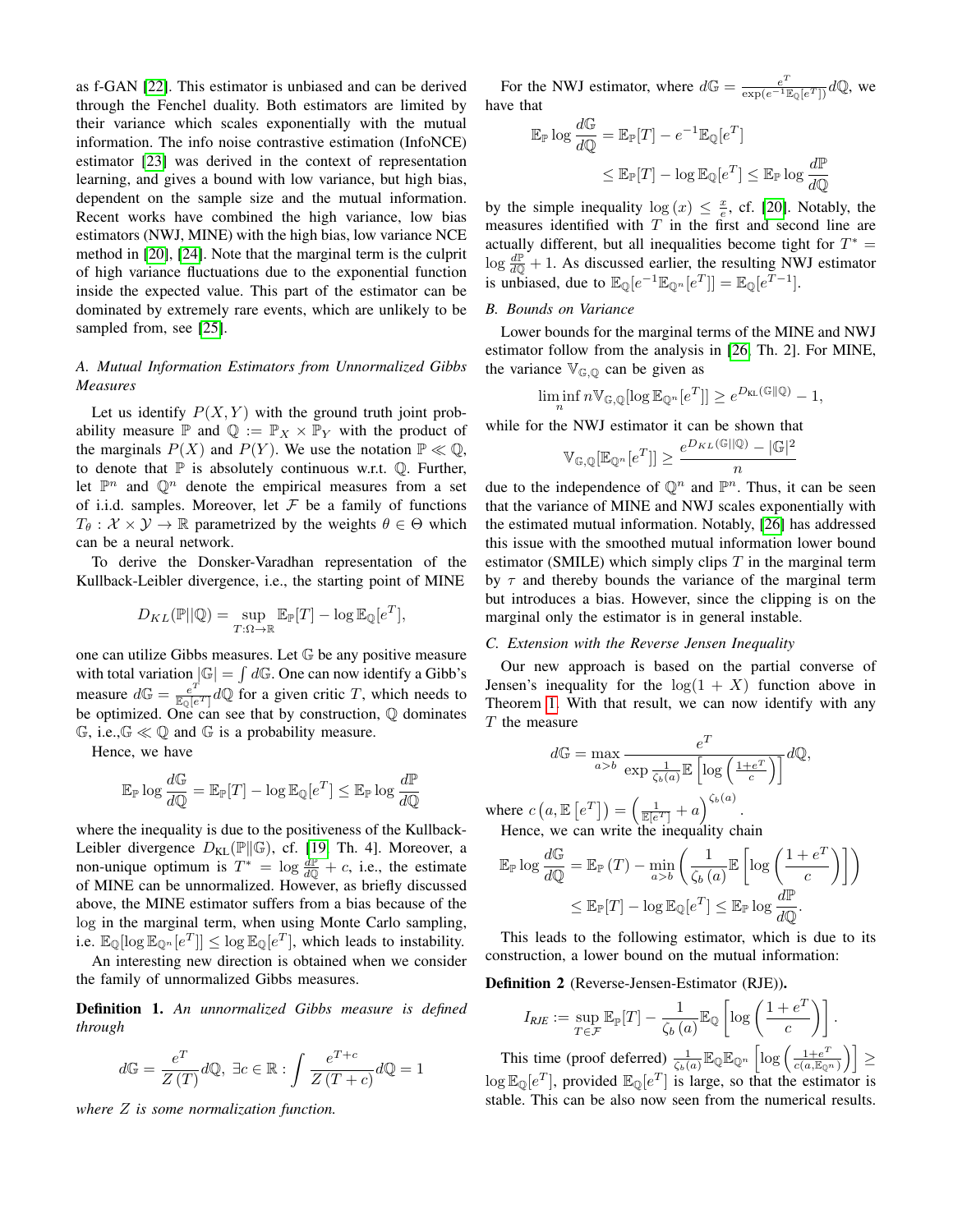as f-GAN [\[22\]](#page-5-19). This estimator is unbiased and can be derived through the Fenchel duality. Both estimators are limited by their variance which scales exponentially with the mutual information. The info noise contrastive estimation (InfoNCE) estimator [\[23\]](#page-5-20) was derived in the context of representation learning, and gives a bound with low variance, but high bias, dependent on the sample size and the mutual information. Recent works have combined the high variance, low bias estimators (NWJ, MINE) with the high bias, low variance NCE method in [\[20\]](#page-5-17), [\[24\]](#page-5-21). Note that the marginal term is the culprit of high variance fluctuations due to the exponential function inside the expected value. This part of the estimator can be dominated by extremely rare events, which are unlikely to be sampled from, see [\[25\]](#page-5-22).

# *A. Mutual Information Estimators from Unnormalized Gibbs Measures*

Let us identify  $P(X, Y)$  with the ground truth joint probability measure  $\mathbb P$  and  $\mathbb Q := \mathbb P_X \times \mathbb P_Y$  with the product of the marginals  $P(X)$  and  $P(Y)$ . We use the notation  $\mathbb{P} \ll \mathbb{Q}$ , to denote that  $\mathbb P$  is absolutely continuous w.r.t.  $\mathbb Q$ . Further, let  $\mathbb{P}^n$  and  $\mathbb{Q}^n$  denote the empirical measures from a set of i.i.d. samples. Moreover, let  $F$  be a family of functions  $T_{\theta}$  :  $\mathcal{X} \times \mathcal{Y} \rightarrow \mathbb{R}$  parametrized by the weights  $\theta \in \Theta$  which can be a neural network.

To derive the Donsker-Varadhan representation of the Kullback-Leibler divergence, i.e., the starting point of MINE

$$
D_{KL}(\mathbb{P}||\mathbb{Q}) = \sup_{T:\Omega \to \mathbb{R}} \mathbb{E}_{\mathbb{P}}[T] - \log \mathbb{E}_{\mathbb{Q}}[e^T],
$$

one can utilize Gibbs measures. Let G be any positive measure with total variation  $|\mathbb{G}| = \int d\mathbb{G}$ . One can now identify a Gibb's measure  $d\mathbb{G} = \frac{e^T}{\mathbb{E}_{\mathbb{Q}}[e^T]} d\mathbb{Q}$  for a given critic T, which needs to be optimized. One can see that by construction,  $\mathbb Q$  dominates  $\mathbb{G}$ , i.e.,  $\mathbb{G} \ll \mathbb{Q}$  and  $\mathbb{G}$  is a probability measure.

Hence, we have

$$
\mathbb{E}_{\mathbb{P}} \log \frac{d\mathbb{G}}{d\mathbb{Q}} = \mathbb{E}_{\mathbb{P}}[T] - \log \mathbb{E}_{\mathbb{Q}}[e^T] \leq \mathbb{E}_{\mathbb{P}} \log \frac{d\mathbb{P}}{d\mathbb{Q}}
$$

where the inequality is due to the positiveness of the Kullback-Leibler divergence  $D_{KL}(\mathbb{P} \|\mathbb{G})$ , cf. [\[19,](#page-5-16) Th. 4]. Moreover, a non-unique optimum is  $T^* = \log \frac{dP}{dQ} + c$ , i.e., the estimate of MINE can be unnormalized. However, as briefly discussed above, the MINE estimator suffers from a bias because of the log in the marginal term, when using Monte Carlo sampling, i.e.  $\mathbb{E}_{\mathbb{Q}}[\log \mathbb{E}_{\mathbb{Q}^n}[e^T]] \leq \log \mathbb{E}_{\mathbb{Q}}[e^T]$ , which leads to instability.

An interesting new direction is obtained when we consider the family of unnormalized Gibbs measures.

Definition 1. *An unnormalized Gibbs measure is defined through*

$$
d\mathbb{G} = \frac{e^T}{Z(T)} d\mathbb{Q}, \ \exists c \in \mathbb{R} : \int \frac{e^{T+c}}{Z(T+c)} d\mathbb{Q} = 1
$$

*where* Z *is some normalization function.*

For the NWJ estimator, where  $d\mathbb{G} = \frac{e^T}{\exp(e^{-1}\mathbb{E}_{\mathbb{Q}}[e^T])}d\mathbb{Q}$ , we have that

$$
\mathbb{E}_{\mathbb{P}} \log \frac{d\mathbb{G}}{d\mathbb{Q}} = \mathbb{E}_{\mathbb{P}}[T] - e^{-1} \mathbb{E}_{\mathbb{Q}}[e^T]
$$
  

$$
\leq \mathbb{E}_{\mathbb{P}}[T] - \log \mathbb{E}_{\mathbb{Q}}[e^T] \leq \mathbb{E}_{\mathbb{P}} \log \frac{d\mathbb{P}}{d\mathbb{Q}}
$$

by the simple inequality  $\log(x) \leq \frac{x}{e}$ , cf. [\[20\]](#page-5-17). Notably, the measures identified with  $T$  in the first and second line are actually different, but all inequalities become tight for  $T^* =$  $\log \frac{dP}{dQ} + 1$ . As discussed earlier, the resulting NWJ estimator is unbiased, due to  $\mathbb{E}_{\mathbb{Q}}[e^{-1}\mathbb{E}_{\mathbb{Q}^n}[e^T]] = \mathbb{E}_{\mathbb{Q}}[e^{T-1}].$ 

## *B. Bounds on Variance*

Lower bounds for the marginal terms of the MINE and NWJ estimator follow from the analysis in [\[26,](#page-5-23) Th. 2]. For MINE, the variance  $V_{\mathbb{G},\mathbb{Q}}$  can be given as

$$
\liminf_n n \mathbb{V}_{\mathbb{G},\mathbb{Q}}[\log \mathbb{E}_{\mathbb{Q}^n}[e^T]] \geq e^{D_{\text{KL}}(\mathbb{G}\|\mathbb{Q})} - 1,
$$

while for the NWJ estimator it can be shown that

$$
\mathbb{V}_{\mathbb{G},\mathbb{Q}}[\mathbb{E}_{\mathbb{Q}^n}[e^T]]\geq \frac{e^{D_{KL}(\mathbb{G}||\mathbb{Q})}-|\mathbb{G}|^2}{n}
$$

due to the independence of  $\mathbb{Q}^n$  and  $\mathbb{P}^n$ . Thus, it can be seen that the variance of MINE and NWJ scales exponentially with the estimated mutual information. Notably, [\[26\]](#page-5-23) has addressed this issue with the smoothed mutual information lower bound estimator (SMILE) which simply clips  $T$  in the marginal term by  $\tau$  and thereby bounds the variance of the marginal term but introduces a bias. However, since the clipping is on the marginal only the estimator is in general instable.

#### *C. Extension with the Reverse Jensen Inequality*

Our new approach is based on the partial converse of Jensen's inequality for the  $log(1 + X)$  function above in Theorem [1.](#page-2-1) With that result, we can now identify with any T the measure

$$
d\mathbb{G} = \max_{a>b} \frac{e^T}{\exp \frac{1}{\zeta_b(a)} \mathbb{E} \left[ \log \left( \frac{1+e^T}{c} \right) \right]} d\mathbb{Q},
$$

where  $c(a, \mathbb{E}\left[e^T\right]) = \left(\frac{1}{\mathbb{E}\left[e^T\right]} + a\right)^{\zeta_b(a)}$ . Hence, we can write the inequality chain

$$
\mathbb{E}_{\mathbb{P}} \log \frac{d\mathbb{G}}{d\mathbb{Q}} = \mathbb{E}_{\mathbb{P}}(T) - \min_{a > b} \left( \frac{1}{\zeta_b(a)} \mathbb{E} \left[ \log \left( \frac{1 + e^T}{c} \right) \right] \right)
$$
  

$$
\leq \mathbb{E}_{\mathbb{P}}[T] - \log \mathbb{E}_{\mathbb{Q}}[e^T] \leq \mathbb{E}_{\mathbb{P}} \log \frac{d\mathbb{P}}{d\mathbb{Q}}.
$$

This leads to the following estimator, which is due to its construction, a lower bound on the mutual information:

#### Definition 2 (Reverse-Jensen-Estimator (RJE)).

$$
I_{RJE} := \sup_{T \in \mathcal{F}} \mathbb{E}_{\mathbb{P}}[T] - \frac{1}{\zeta_b(a)} \mathbb{E}_{\mathbb{Q}} \left[ \log \left( \frac{1 + e^T}{c} \right) \right].
$$

This time (proof deferred)  $\frac{1}{\zeta_b(a)} \mathbb{E}_{\mathbb{Q}} \mathbb{E}_{\mathbb{Q}^n} \left[ \log \left( \frac{1+e^T}{c(a,\mathbb{E}_{\mathbb{Q}^n})} \right) \right] \geq$  $\log \mathbb{E}_{\mathbb{Q}}[e^T]$ , provided  $\mathbb{E}_{\mathbb{Q}}[e^T]$  is large, so that the estimator is stable. This can be also now seen from the numerical results.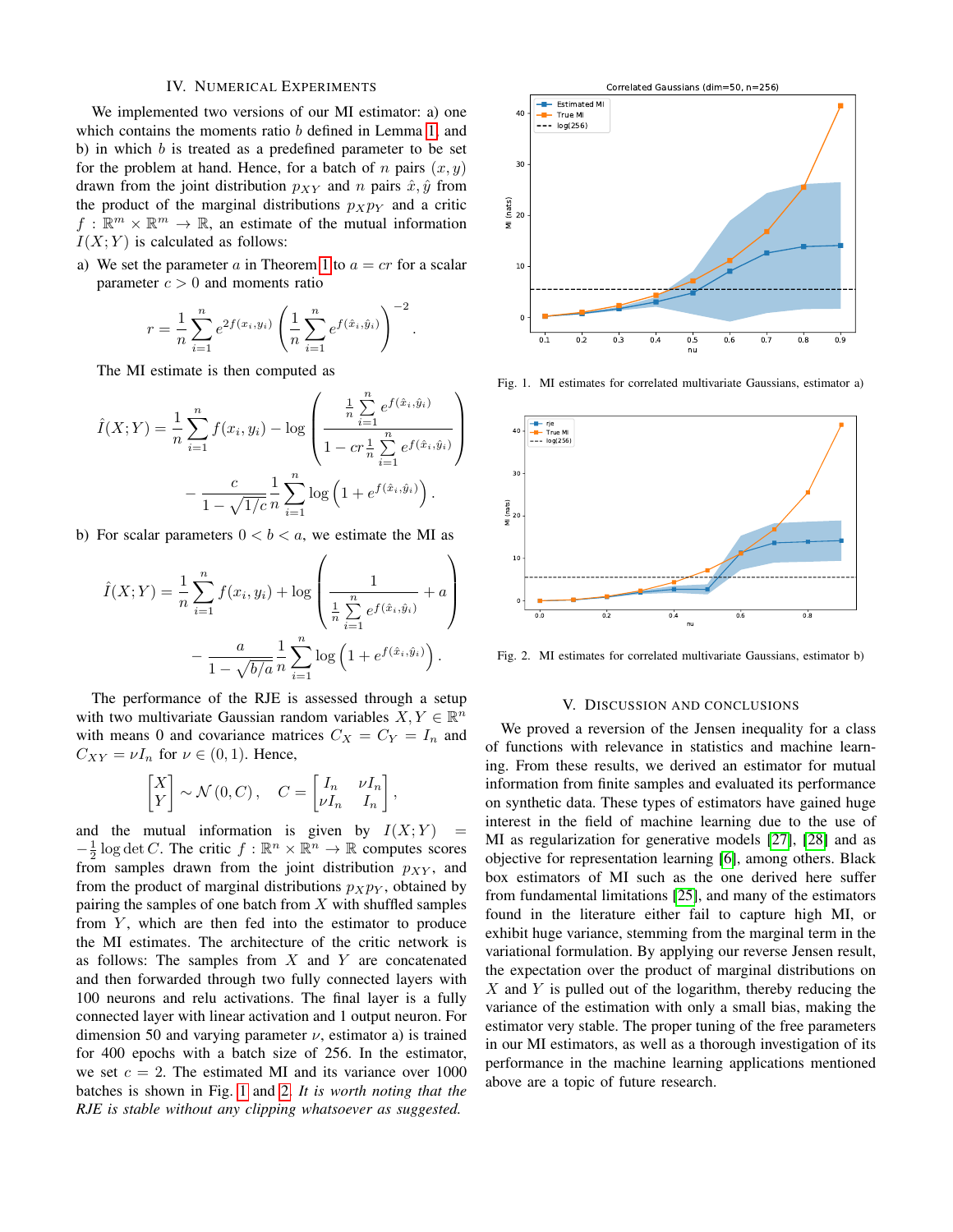# IV. NUMERICAL EXPERIMENTS

<span id="page-4-0"></span>We implemented two versions of our MI estimator: a) one which contains the moments ratio b defined in Lemma [1,](#page-0-1) and b) in which  $b$  is treated as a predefined parameter to be set for the problem at hand. Hence, for a batch of n pairs  $(x, y)$ drawn from the joint distribution  $p_{XY}$  and n pairs  $\hat{x}, \hat{y}$  from the product of the marginal distributions  $p_Xp_Y$  and a critic  $f: \mathbb{R}^m \times \mathbb{R}^m \to \mathbb{R}$ , an estimate of the mutual information  $I(X; Y)$  is calculated as follows:

a) We set the parameter a in Theorem [1](#page-2-1) to  $a = cr$  for a scalar parameter  $c > 0$  and moments ratio

$$
r = \frac{1}{n} \sum_{i=1}^{n} e^{2f(x_i, y_i)} \left( \frac{1}{n} \sum_{i=1}^{n} e^{f(\hat{x}_i, \hat{y}_i)} \right)^{-2}
$$

.

The MI estimate is then computed as

$$
\hat{I}(X;Y) = \frac{1}{n} \sum_{i=1}^{n} f(x_i, y_i) - \log \left( \frac{\frac{1}{n} \sum_{i=1}^{n} e^{f(\hat{x}_i, \hat{y}_i)}}{1 - c r \frac{1}{n} \sum_{i=1}^{n} e^{f(\hat{x}_i, \hat{y}_i)}} \right) - \frac{c}{1 - \sqrt{1/c}} \frac{1}{n} \sum_{i=1}^{n} \log \left( 1 + e^{f(\hat{x}_i, \hat{y}_i)} \right).
$$

b) For scalar parameters  $0 < b < a$ , we estimate the MI as

$$
\hat{I}(X;Y) = \frac{1}{n} \sum_{i=1}^{n} f(x_i, y_i) + \log \left( \frac{1}{\frac{1}{n} \sum_{i=1}^{n} e^{f(\hat{x}_i, \hat{y}_i)}} + a \right) - \frac{a}{1 - \sqrt{b/a}} \frac{1}{n} \sum_{i=1}^{n} \log \left( 1 + e^{f(\hat{x}_i, \hat{y}_i)} \right).
$$

The performance of the RJE is assessed through a setup with two multivariate Gaussian random variables  $X, Y \in \mathbb{R}^n$ with means 0 and covariance matrices  $C_X = C_Y = I_n$  and  $C_{XY} = \nu I_n$  for  $\nu \in (0,1)$ . Hence,

$$
\begin{bmatrix} X \\ Y \end{bmatrix} \sim \mathcal{N}(0, C), \quad C = \begin{bmatrix} I_n & \nu I_n \\ \nu I_n & I_n \end{bmatrix},
$$

and the mutual information is given by  $I(X;Y)$  $-\frac{1}{2} \log \det C$ . The critic  $f : \mathbb{R}^n \times \mathbb{R}^n \to \mathbb{R}$  computes scores from samples drawn from the joint distribution  $p_{XY}$ , and from the product of marginal distributions  $p_Xp_Y$ , obtained by pairing the samples of one batch from  $X$  with shuffled samples from  $Y$ , which are then fed into the estimator to produce the MI estimates. The architecture of the critic network is as follows: The samples from  $X$  and  $Y$  are concatenated and then forwarded through two fully connected layers with 100 neurons and relu activations. The final layer is a fully connected layer with linear activation and 1 output neuron. For dimension 50 and varying parameter  $\nu$ , estimator a) is trained for 400 epochs with a batch size of 256. In the estimator, we set  $c = 2$ . The estimated MI and its variance over 1000 batches is shown in Fig. [1](#page-4-2) and [2.](#page-4-3) *It is worth noting that the RJE is stable without any clipping whatsoever as suggested.*



<span id="page-4-2"></span>Fig. 1. MI estimates for correlated multivariate Gaussians, estimator a)



<span id="page-4-3"></span>Fig. 2. MI estimates for correlated multivariate Gaussians, estimator b)

#### V. DISCUSSION AND CONCLUSIONS

<span id="page-4-1"></span>We proved a reversion of the Jensen inequality for a class of functions with relevance in statistics and machine learning. From these results, we derived an estimator for mutual information from finite samples and evaluated its performance on synthetic data. These types of estimators have gained huge interest in the field of machine learning due to the use of MI as regularization for generative models [\[27\]](#page-5-24), [\[28\]](#page-5-25) and as objective for representation learning [\[6\]](#page-5-5), among others. Black box estimators of MI such as the one derived here suffer from fundamental limitations [\[25\]](#page-5-22), and many of the estimators found in the literature either fail to capture high MI, or exhibit huge variance, stemming from the marginal term in the variational formulation. By applying our reverse Jensen result, the expectation over the product of marginal distributions on  $X$  and Y is pulled out of the logarithm, thereby reducing the variance of the estimation with only a small bias, making the estimator very stable. The proper tuning of the free parameters in our MI estimators, as well as a thorough investigation of its performance in the machine learning applications mentioned above are a topic of future research.